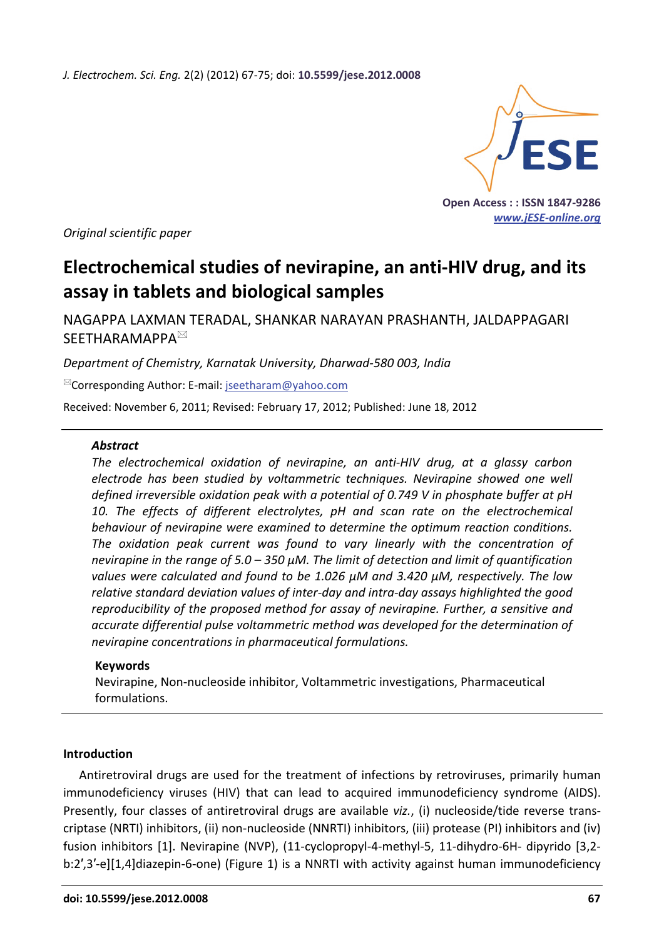*J. Electrochem. Sci. Eng.* 2(2) (2012) 67-75; doi: **10.5599/jese.2012.0008**



**Open Access : : ISSN 1847-9286**  *www.jESE-online.org* 

*Original scientific paper* 

# **Electrochemical studies of nevirapine, an anti-HIV drug, and its assay in tablets and biological samples**

NAGAPPA LAXMAN TERADAL, SHANKAR NARAYAN PRASHANTH, JALDAPPAGARI SEETHARAMAPPA<sup>⊠</sup>

*Department of Chemistry, Karnatak University, Dharwad-580 003, India* 

 $\mathbb{Z}$ Corresponding Author: E-mail: iseetharam@yahoo.com

Received: November 6, 2011; Revised: February 17, 2012; Published: June 18, 2012

#### *Abstract*

*The electrochemical oxidation of nevirapine, an anti-HIV drug, at a glassy carbon electrode has been studied by voltammetric techniques. Nevirapine showed one well defined irreversible oxidation peak with a potential of 0.749 V in phosphate buffer at pH*  10. The effects of different electrolytes, pH and scan rate on the electrochemical *behaviour of nevirapine were examined to determine the optimum reaction conditions. The oxidation peak current was found to vary linearly with the concentration of nevirapine in the range of 5.0 – 350 µM. The limit of detection and limit of quantification values were calculated and found to be 1.026 µM and 3.420 µM, respectively. The low relative standard deviation values of inter-day and intra-day assays highlighted the good reproducibility of the proposed method for assay of nevirapine. Further, a sensitive and accurate differential pulse voltammetric method was developed for the determination of nevirapine concentrations in pharmaceutical formulations.* 

### **Keywords**

Nevirapine, Non-nucleoside inhibitor, Voltammetric investigations, Pharmaceutical formulations.

### **Introduction**

Antiretroviral drugs are used for the treatment of infections by retroviruses, primarily human immunodeficiency viruses (HIV) that can lead to acquired immunodeficiency syndrome (AIDS). Presently, four classes of antiretroviral drugs are available *viz.*, (i) nucleoside/tide reverse transcriptase (NRTI) inhibitors, (ii) non-nucleoside (NNRTI) inhibitors, (iii) protease (PI) inhibitors and (iv) fusion inhibitors [1]. Nevirapine (NVP), (11-cyclopropyl-4-methyl-5, 11-dihydro-6H- dipyrido [3,2 b:2′,3′-e][1,4]diazepin-6-one) (Figure 1) is a NNRTI with activity against human immunodeficiency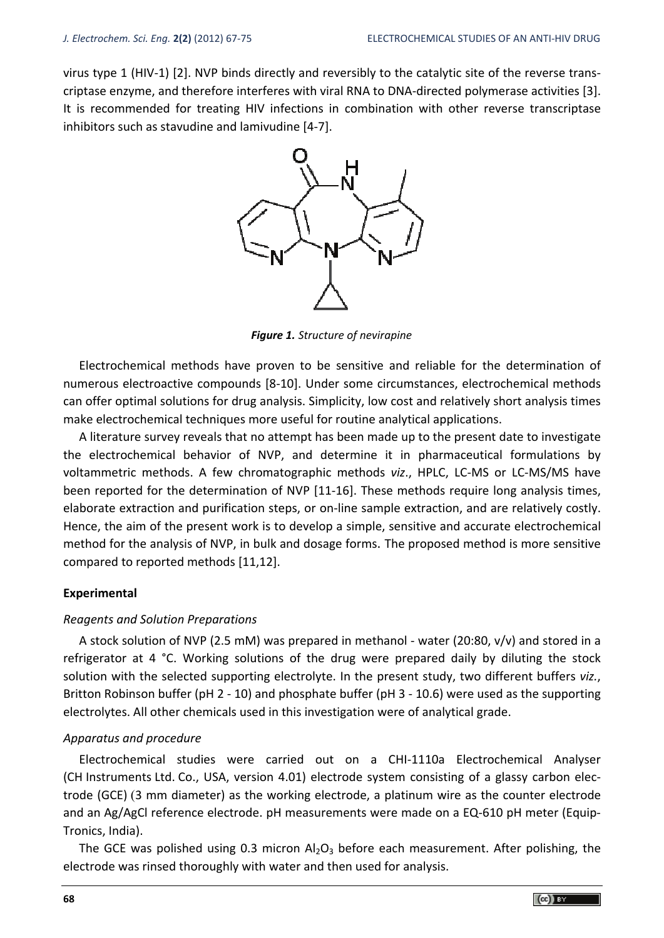virus type 1 (HIV-1) [2]. NVP binds directly and reversibly to the catalytic site of the reverse transcriptase enzyme, and therefore interferes with viral RNA to DNA-directed polymerase activities [3]. It is recommended for treating HIV infections in combination with other reverse transcriptase inhibitors such as stavudine and lamivudine [4-7].



*Figure 1. Structure of nevirapine* 

Electrochemical methods have proven to be sensitive and reliable for the determination of numerous electroactive compounds [8-10]. Under some circumstances, electrochemical methods can offer optimal solutions for drug analysis. Simplicity, low cost and relatively short analysis times make electrochemical techniques more useful for routine analytical applications.

A literature survey reveals that no attempt has been made up to the present date to investigate the electrochemical behavior of NVP, and determine it in pharmaceutical formulations by voltammetric methods. A few chromatographic methods *viz*., HPLC, LC-MS or LC-MS/MS have been reported for the determination of NVP [11-16]. These methods require long analysis times, elaborate extraction and purification steps, or on-line sample extraction, and are relatively costly. Hence, the aim of the present work is to develop a simple, sensitive and accurate electrochemical method for the analysis of NVP, in bulk and dosage forms. The proposed method is more sensitive compared to reported methods [11,12].

### **Experimental**

### *Reagents and Solution Preparations*

A stock solution of NVP (2.5 mM) was prepared in methanol - water (20:80, v/v) and stored in a refrigerator at 4 °C. Working solutions of the drug were prepared daily by diluting the stock solution with the selected supporting electrolyte. In the present study, two different buffers *viz.*, Britton Robinson buffer (pH 2 - 10) and phosphate buffer (pH 3 - 10.6) were used as the supporting electrolytes. All other chemicals used in this investigation were of analytical grade.

### *Apparatus and procedure*

Electrochemical studies were carried out on a CHI-1110a Electrochemical Analyser (CH Instruments Ltd. Co., USA, version 4.01) electrode system consisting of a glassy carbon electrode (GCE) (3 mm diameter) as the working electrode, a platinum wire as the counter electrode and an Ag/AgCl reference electrode. pH measurements were made on a EQ-610 pH meter (Equip-Tronics, India).

The GCE was polished using 0.3 micron  $Al_2O_3$  before each measurement. After polishing, the electrode was rinsed thoroughly with water and then used for analysis.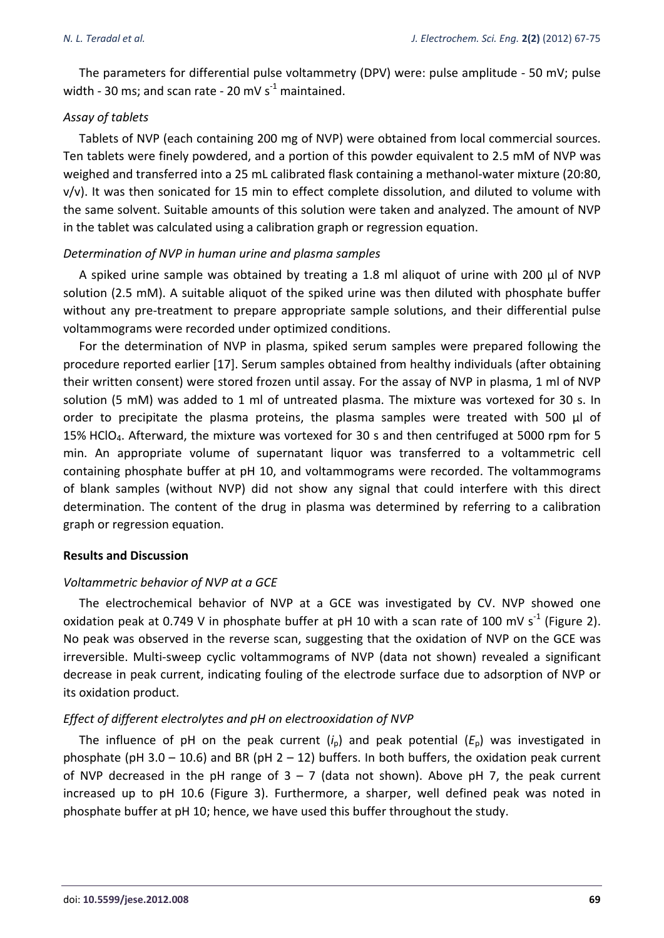The parameters for differential pulse voltammetry (DPV) were: pulse amplitude - 50 mV; pulse width - 30 ms; and scan rate - 20 mV  $s^{-1}$  maintained.

## *Assay of tablets*

Tablets of NVP (each containing 200 mg of NVP) were obtained from local commercial sources. Ten tablets were finely powdered, and a portion of this powder equivalent to 2.5 mM of NVP was weighed and transferred into a 25 mL calibrated flask containing a methanol-water mixture (20:80, v/v). It was then sonicated for 15 min to effect complete dissolution, and diluted to volume with the same solvent. Suitable amounts of this solution were taken and analyzed. The amount of NVP in the tablet was calculated using a calibration graph or regression equation.

## *Determination of NVP in human urine and plasma samples*

A spiked urine sample was obtained by treating a 1.8 ml aliquot of urine with 200 μl of NVP solution (2.5 mM). A suitable aliquot of the spiked urine was then diluted with phosphate buffer without any pre-treatment to prepare appropriate sample solutions, and their differential pulse voltammograms were recorded under optimized conditions.

For the determination of NVP in plasma, spiked serum samples were prepared following the procedure reported earlier [17]. Serum samples obtained from healthy individuals (after obtaining their written consent) were stored frozen until assay. For the assay of NVP in plasma, 1 ml of NVP solution (5 mM) was added to 1 ml of untreated plasma. The mixture was vortexed for 30 s. In order to precipitate the plasma proteins, the plasma samples were treated with 500  $\mu$ l of 15% HClO4. Afterward, the mixture was vortexed for 30 s and then centrifuged at 5000 rpm for 5 min. An appropriate volume of supernatant liquor was transferred to a voltammetric cell containing phosphate buffer at pH 10, and voltammograms were recorded. The voltammograms of blank samples (without NVP) did not show any signal that could interfere with this direct determination. The content of the drug in plasma was determined by referring to a calibration graph or regression equation.

## **Results and Discussion**

### *Voltammetric behavior of NVP at a GCE*

The electrochemical behavior of NVP at a GCE was investigated by CV. NVP showed one oxidation peak at 0.749 V in phosphate buffer at pH 10 with a scan rate of 100 mV s<sup>-1</sup> (Figure 2). No peak was observed in the reverse scan, suggesting that the oxidation of NVP on the GCE was irreversible. Multi-sweep cyclic voltammograms of NVP (data not shown) revealed a significant decrease in peak current, indicating fouling of the electrode surface due to adsorption of NVP or its oxidation product.

## *Effect of different electrolytes and pH on electrooxidation of NVP*

The influence of pH on the peak current  $(i<sub>p</sub>)$  and peak potential  $(E<sub>p</sub>)$  was investigated in phosphate (pH 3.0 – 10.6) and BR (pH  $2 - 12$ ) buffers. In both buffers, the oxidation peak current of NVP decreased in the pH range of  $3 - 7$  (data not shown). Above pH 7, the peak current increased up to pH 10.6 (Figure 3). Furthermore, a sharper, well defined peak was noted in phosphate buffer at pH 10; hence, we have used this buffer throughout the study.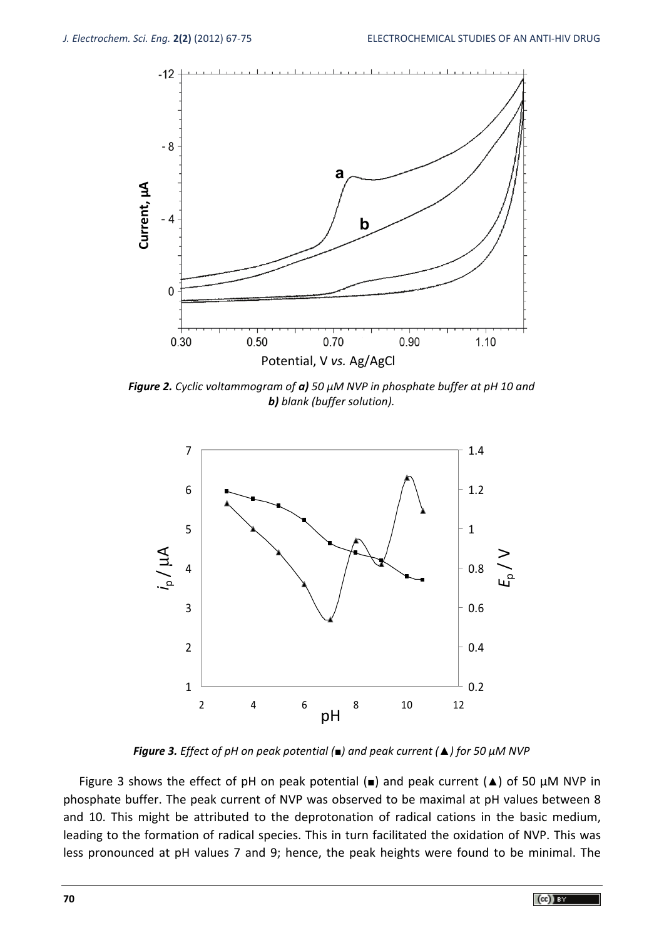

*Figure 2. Cyclic voltammogram of a) 50 µM NVP in phosphate buffer at pH 10 and b) blank (buffer solution).* 



*Figure 3. Effect of pH on peak potential (■) and peak current (▲) for 50 µM NVP* 

Figure 3 shows the effect of pH on peak potential (*■*) and peak current (*▲*) of 50 µM NVP in phosphate buffer. The peak current of NVP was observed to be maximal at pH values between 8 and 10. This might be attributed to the deprotonation of radical cations in the basic medium, leading to the formation of radical species. This in turn facilitated the oxidation of NVP. This was less pronounced at pH values 7 and 9; hence, the peak heights were found to be minimal. The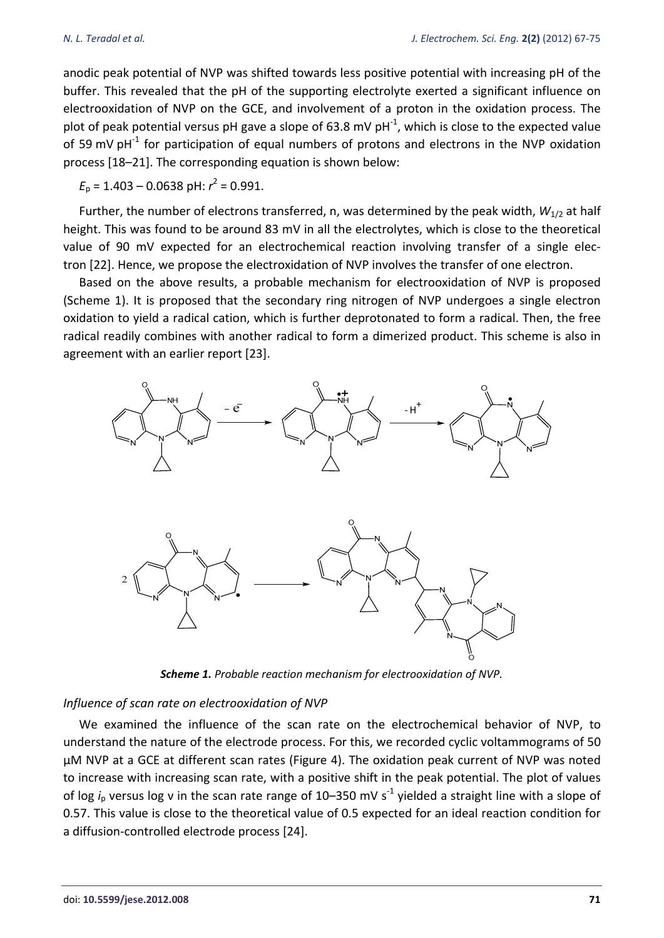anodic peak potential of NVP was shifted towards less positive potential with increasing pH of the buffer. This revealed that the pH of the supporting electrolyte exerted a significant influence on electrooxidation of NVP on the GCE, and involvement of a proton in the oxidation process. The plot of peak potential versus pH gave a slope of 63.8 mV pH $^{-1}$ , which is close to the expected value of 59 mV pH<sup>-1</sup> for participation of equal numbers of protons and electrons in the NVP oxidation process [18–21]. The corresponding equation is shown below:

 $E_p = 1.403 - 0.0638 \text{ pH: } r^2 = 0.991.$ 

Further, the number of electrons transferred, n, was determined by the peak width,  $W_{1/2}$  at half height. This was found to be around 83 mV in all the electrolytes, which is close to the theoretical value of 90 mV expected for an electrochemical reaction involving transfer of a single electron [22]. Hence, we propose the electroxidation of NVP involves the transfer of one electron.

Based on the above results, a probable mechanism for electrooxidation of NVP is proposed (Scheme 1). It is proposed that the secondary ring nitrogen of NVP undergoes a single electron oxidation to yield a radical cation, which is further deprotonated to form a radical. Then, the free radical readily combines with another radical to form a dimerized product. This scheme is also in agreement with an earlier report [23].



*Scheme 1. Probable reaction mechanism for electrooxidation of NVP.* 

## *Influence of scan rate on electrooxidation of NVP*

We examined the influence of the scan rate on the electrochemical behavior of NVP, to understand the nature of the electrode process. For this, we recorded cyclic voltammograms of 50 µM NVP at a GCE at different scan rates (Figure 4). The oxidation peak current of NVP was noted to increase with increasing scan rate, with a positive shift in the peak potential. The plot of values of log *i*<sub>p</sub> versus log v in the scan rate range of 10–350 mV s<sup>-1</sup> yielded a straight line with a slope of 0.57. This value is close to the theoretical value of 0.5 expected for an ideal reaction condition for a diffusion-controlled electrode process [24].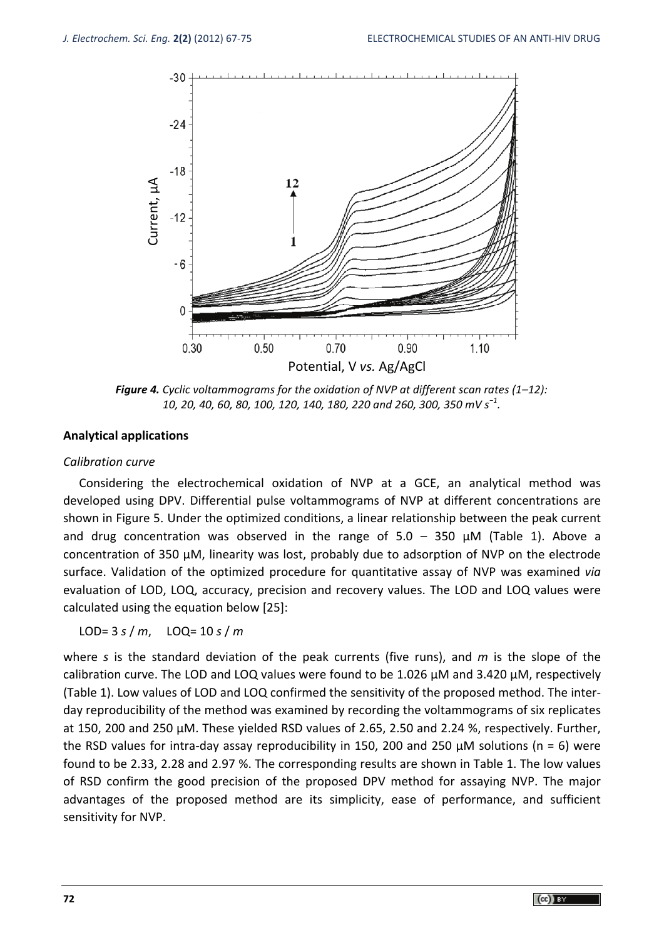

*Figure 4. Cyclic voltammograms for the oxidation of NVP at different scan rates (1–12): 10, 20, 40, 60, 80, 100, 120, 140, 180, 220 and 260, 300, 350 mV s<sup>−</sup><sup>1</sup> .* 

### **Analytical applications**

#### *Calibration curve*

Considering the electrochemical oxidation of NVP at a GCE, an analytical method was developed using DPV. Differential pulse voltammograms of NVP at different concentrations are shown in Figure 5. Under the optimized conditions, a linear relationship between the peak current and drug concentration was observed in the range of  $5.0 - 350 \mu M$  (Table 1). Above a concentration of 350 µM, linearity was lost, probably due to adsorption of NVP on the electrode surface. Validation of the optimized procedure for quantitative assay of NVP was examined *via* evaluation of LOD, LOQ, accuracy, precision and recovery values. The LOD and LOQ values were calculated using the equation below [25]:

LOD= 3 *s* / *m*, LOQ= 10 *s* / *m*

Example 1<br>
Figure 4. C<br>
Figure 4. C<br>
Analytical applicati<br>
Calibration curve<br>
Considering the<br>
developed using Dl<br>
shown in Figure 5. I<br>
and drug concent<br>
concentration of 35<br>
surface. Validation<br>
evaluation of LOD,<br>
calcu where *s* is the standard deviation of the peak currents (five runs), and *m* is the slope of the calibration curve. The LOD and LOQ values were found to be 1.026  $\mu$ M and 3.420  $\mu$ M, respectively (Table 1). Low values of LOD and LOQ confirmed the sensitivity of the proposed method. The interday reproducibility of the method was examined by recording the voltammograms of six replicates at 150, 200 and 250 µM. These yielded RSD values of 2.65, 2.50 and 2.24 %, respectively. Further, the RSD values for intra-day assay reproducibility in 150, 200 and 250  $\mu$ M solutions (n = 6) were found to be 2.33, 2.28 and 2.97 %. The corresponding results are shown in Table 1. The low values of RSD confirm the good precision of the proposed DPV method for assaying NVP. The major advantages of the proposed method are its simplicity, ease of performance, and sufficient sensitivity for NVP.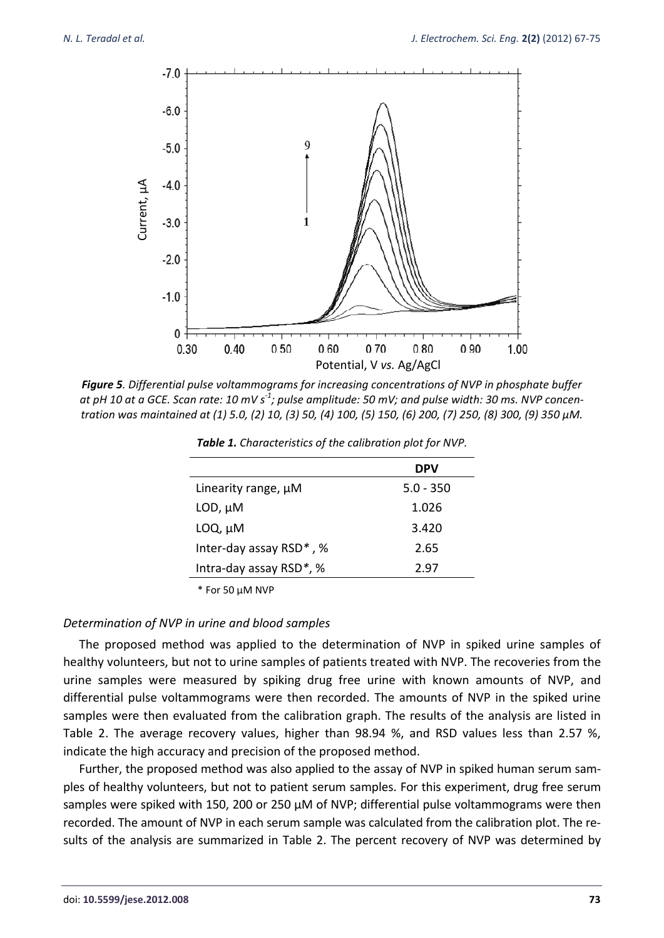

*Figure 5. Differential pulse voltammograms for increasing concentrations of NVP in phosphate buffer at pH 10 at a GCE. Scan rate: 10 mV s-1; pulse amplitude: 50 mV; and pulse width: 30 ms. NVP concentration was maintained at (1) 5.0, (2) 10, (3) 50, (4) 100, (5) 150, (6) 200, (7) 250, (8) 300, (9) 350 µM.* 

|                         | DPV         |
|-------------------------|-------------|
| Linearity range, µM     | $5.0 - 350$ |
| $LOD, \mu M$            | 1.026       |
| $LOQ, \mu M$            | 3.420       |
| Inter-day assay RSD*, % | 2.65        |
| Intra-day assay RSD*, % | 2.97        |

*Table 1. Characteristics of the calibration plot for NVP.*

\* For 50 µM NVP

#### *Determination of NVP in urine and blood samples*

The proposed method was applied to the determination of NVP in spiked urine samples of healthy volunteers, but not to urine samples of patients treated with NVP. The recoveries from the urine samples were measured by spiking drug free urine with known amounts of NVP, and differential pulse voltammograms were then recorded. The amounts of NVP in the spiked urine samples were then evaluated from the calibration graph. The results of the analysis are listed in Table 2. The average recovery values, higher than 98.94 %, and RSD values less than 2.57 %, indicate the high accuracy and precision of the proposed method.

Further, the proposed method was also applied to the assay of NVP in spiked human serum samples of healthy volunteers, but not to patient serum samples. For this experiment, drug free serum samples were spiked with 150, 200 or 250 µM of NVP; differential pulse voltammograms were then recorded. The amount of NVP in each serum sample was calculated from the calibration plot. The re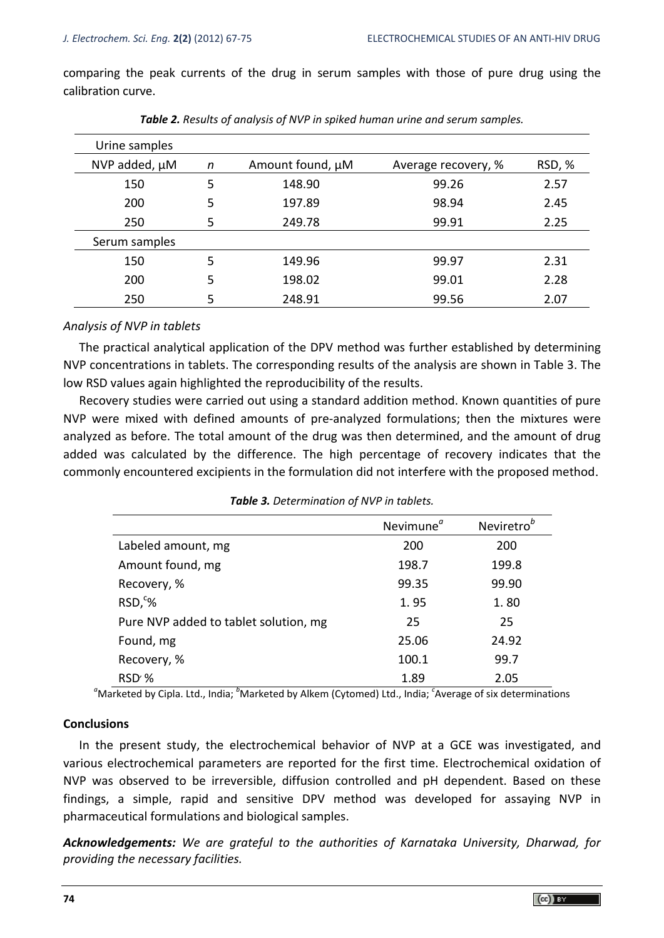comparing the peak currents of the drug in serum samples with those of pure drug using the calibration curve.

| Urine samples |   |                  |                     |        |
|---------------|---|------------------|---------------------|--------|
| NVP added, µM | n | Amount found, µM | Average recovery, % | RSD, % |
| 150           | 5 | 148.90           | 99.26               | 2.57   |
| 200           | 5 | 197.89           | 98.94               | 2.45   |
| 250           | 5 | 249.78           | 99.91               | 2.25   |
| Serum samples |   |                  |                     |        |
| 150           | 5 | 149.96           | 99.97               | 2.31   |
| 200           | 5 | 198.02           | 99.01               | 2.28   |
| 250           | 5 | 248.91           | 99.56               | 2.07   |

*Table 2. Results of analysis of NVP in spiked human urine and serum samples.* 

### *Analysis of NVP in tablets*

The practical analytical application of the DPV method was further established by determining NVP concentrations in tablets. The corresponding results of the analysis are shown in Table 3. The low RSD values again highlighted the reproducibility of the results.

Recovery studies were carried out using a standard addition method. Known quantities of pure NVP were mixed with defined amounts of pre-analyzed formulations; then the mixtures were analyzed as before. The total amount of the drug was then determined, and the amount of drug added was calculated by the difference. The high percentage of recovery indicates that the commonly encountered excipients in the formulation did not interfere with the proposed method.

|                                       | Nevimune <sup>a</sup> | Neviretro <sup>b</sup> |
|---------------------------------------|-----------------------|------------------------|
| Labeled amount, mg                    | 200                   | 200                    |
| Amount found, mg                      | 198.7                 | 199.8                  |
| Recovery, %                           | 99.35                 | 99.90                  |
| $RSD,^c\%$                            | 1.95                  | 1.80                   |
| Pure NVP added to tablet solution, mg | 25                    | 25                     |
| Found, mg                             | 25.06                 | 24.92                  |
| Recovery, %                           | 100.1                 | 99.7                   |
| RSD'%                                 | 1.89                  | 2.05                   |

*Table 3. Determination of NVP in tablets.* 

<sup>a</sup>Marketed by Cipla. Ltd., India; <sup>b</sup>Marketed by Alkem (Cytomed) Ltd., India; <sup>c</sup>Average of six determinations

### **Conclusions**

In the present study, the electrochemical behavior of NVP at a GCE was investigated, and various electrochemical parameters are reported for the first time. Electrochemical oxidation of NVP was observed to be irreversible, diffusion controlled and pH dependent. Based on these findings, a simple, rapid and sensitive DPV method was developed for assaying NVP in pharmaceutical formulations and biological samples.

*Acknowledgements: We are grateful to the authorities of Karnataka University, Dharwad, for providing the necessary facilities.*